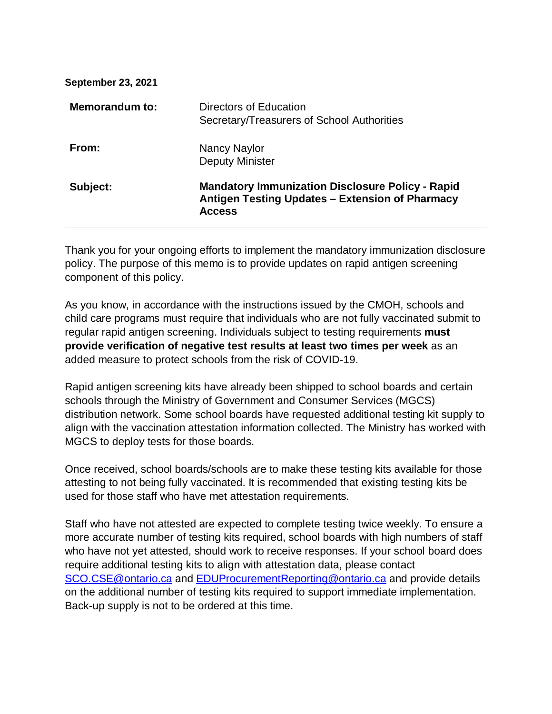| <b>September 23, 2021</b> |                                                                                                                             |
|---------------------------|-----------------------------------------------------------------------------------------------------------------------------|
| <b>Memorandum to:</b>     | Directors of Education<br>Secretary/Treasurers of School Authorities                                                        |
| From:                     | Nancy Naylor<br><b>Deputy Minister</b>                                                                                      |
| Subject:                  | <b>Mandatory Immunization Disclosure Policy - Rapid</b><br>Antigen Testing Updates - Extension of Pharmacy<br><b>Access</b> |

Thank you for your ongoing efforts to implement the mandatory immunization disclosure policy. The purpose of this memo is to provide updates on rapid antigen screening component of this policy.

As you know, in accordance with the instructions issued by the CMOH, schools and child care programs must require that individuals who are not fully vaccinated submit to regular rapid antigen screening. Individuals subject to testing requirements **must provide verification of negative test results at least two times per week** as an added measure to protect schools from the risk of COVID-19.

Rapid antigen screening kits have already been shipped to school boards and certain schools through the Ministry of Government and Consumer Services (MGCS) distribution network. Some school boards have requested additional testing kit supply to align with the vaccination attestation information collected. The Ministry has worked with MGCS to deploy tests for those boards.

Once received, school boards/schools are to make these testing kits available for those attesting to not being fully vaccinated. It is recommended that existing testing kits be used for those staff who have met attestation requirements.

Staff who have not attested are expected to complete testing twice weekly. To ensure a more accurate number of testing kits required, school boards with high numbers of staff who have not yet attested, should work to receive responses. If your school board does require additional testing kits to align with attestation data, please contact [SCO.CSE@ontario.ca](mailto:SCO.CSE@ontario.ca) and [EDUProcurementReporting@ontario.ca](mailto:EDUProcurementReporting@ontario.ca) and provide details on the additional number of testing kits required to support immediate implementation. Back-up supply is not to be ordered at this time.